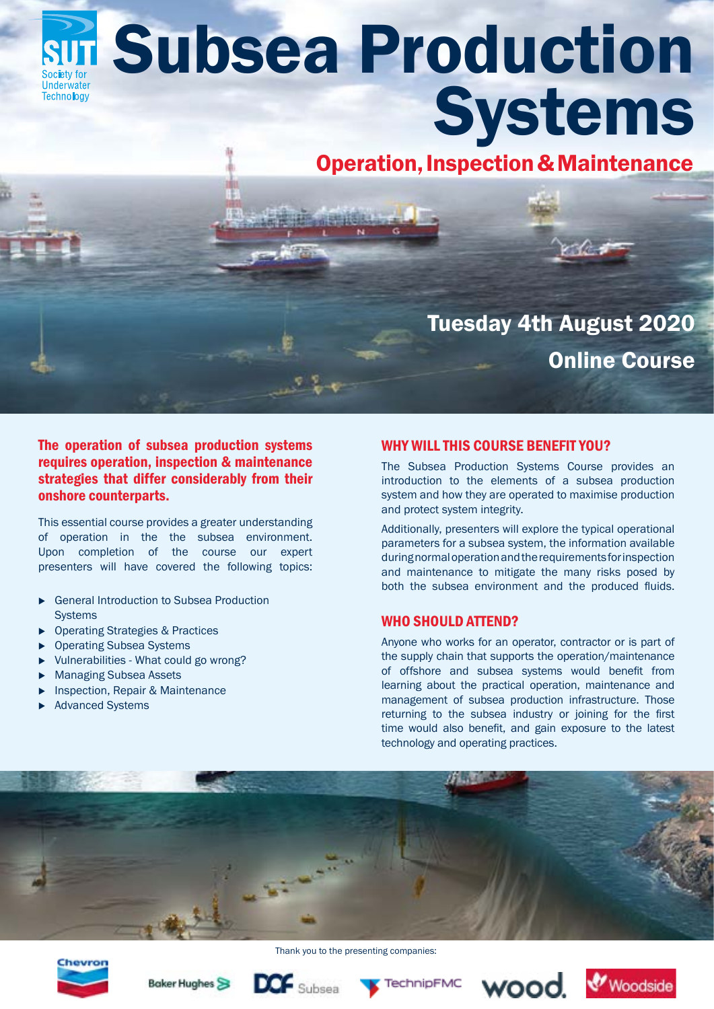# **Subsea Production** Underwater **Systems Technology**

# Operation, Inspection & Maintenance

# Tuesday 4th August 2020 Online Course

# The operation of subsea production systems requires operation, inspection & maintenance strategies that differ considerably from their onshore counterparts.

This essential course provides a greater understanding of operation in the the subsea environment. Upon completion of the course our expert presenters will have covered the following topics:

- ▶ General Introduction to Subsea Production **Systems**
- ▶ Operating Strategies & Practices
- **Operating Subsea Systems**
- <sup>u</sup> Vulnerabilities What could go wrong?
- **Managing Subsea Assets**
- Inspection, Repair & Maintenance
- **Advanced Systems**

# WHY WILL THIS COURSE BENEFIT YOU?

The Subsea Production Systems Course provides an introduction to the elements of a subsea production system and how they are operated to maximise production and protect system integrity.

Additionally, presenters will explore the typical operational parameters for a subsea system, the information available during normal operation and the requirements for inspection and maintenance to mitigate the many risks posed by both the subsea environment and the produced fluids.

### WHO SHOULD ATTEND?

Anyone who works for an operator, contractor or is part of the supply chain that supports the operation/maintenance of offshore and subsea systems would benefit from learning about the practical operation, maintenance and management of subsea production infrastructure. Those returning to the subsea industry or joining for the first time would also benefit, and gain exposure to the latest technology and operating practices.